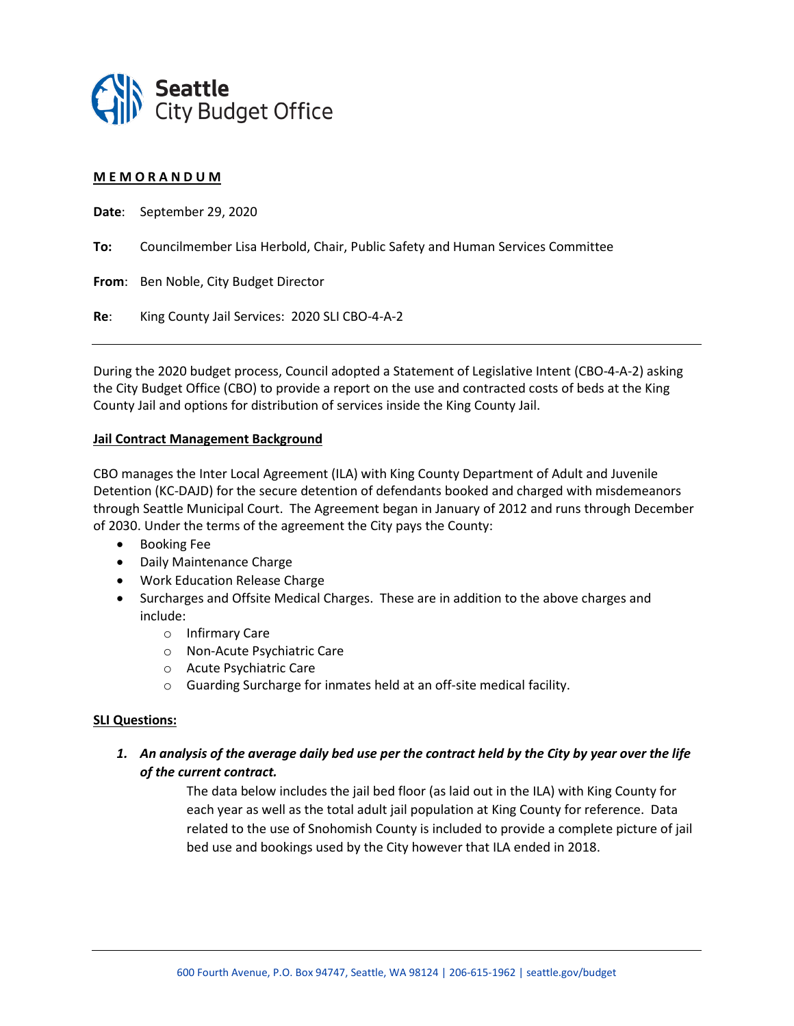

### **M E M O R A N D U M**

**Date**: September 29, 2020

**To:** Councilmember Lisa Herbold, Chair, Public Safety and Human Services Committee

**From**: Ben Noble, City Budget Director

**Re**: King County Jail Services: 2020 SLI CBO-4-A-2

During the 2020 budget process, Council adopted a Statement of Legislative Intent (CBO-4-A-2) asking the City Budget Office (CBO) to provide a report on the use and contracted costs of beds at the King County Jail and options for distribution of services inside the King County Jail.

#### **Jail Contract Management Background**

CBO manages the Inter Local Agreement (ILA) with King County Department of Adult and Juvenile Detention (KC-DAJD) for the secure detention of defendants booked and charged with misdemeanors through Seattle Municipal Court. The Agreement began in January of 2012 and runs through December of 2030. Under the terms of the agreement the City pays the County:

- Booking Fee
- Daily Maintenance Charge
- Work Education Release Charge
- Surcharges and Offsite Medical Charges. These are in addition to the above charges and include:
	- o Infirmary Care
	- o Non-Acute Psychiatric Care
	- o Acute Psychiatric Care
	- o Guarding Surcharge for inmates held at an off-site medical facility.

## **SLI Questions:**

*1. An analysis of the average daily bed use per the contract held by the City by year over the life of the current contract.*

> The data below includes the jail bed floor (as laid out in the ILA) with King County for each year as well as the total adult jail population at King County for reference. Data related to the use of Snohomish County is included to provide a complete picture of jail bed use and bookings used by the City however that ILA ended in 2018.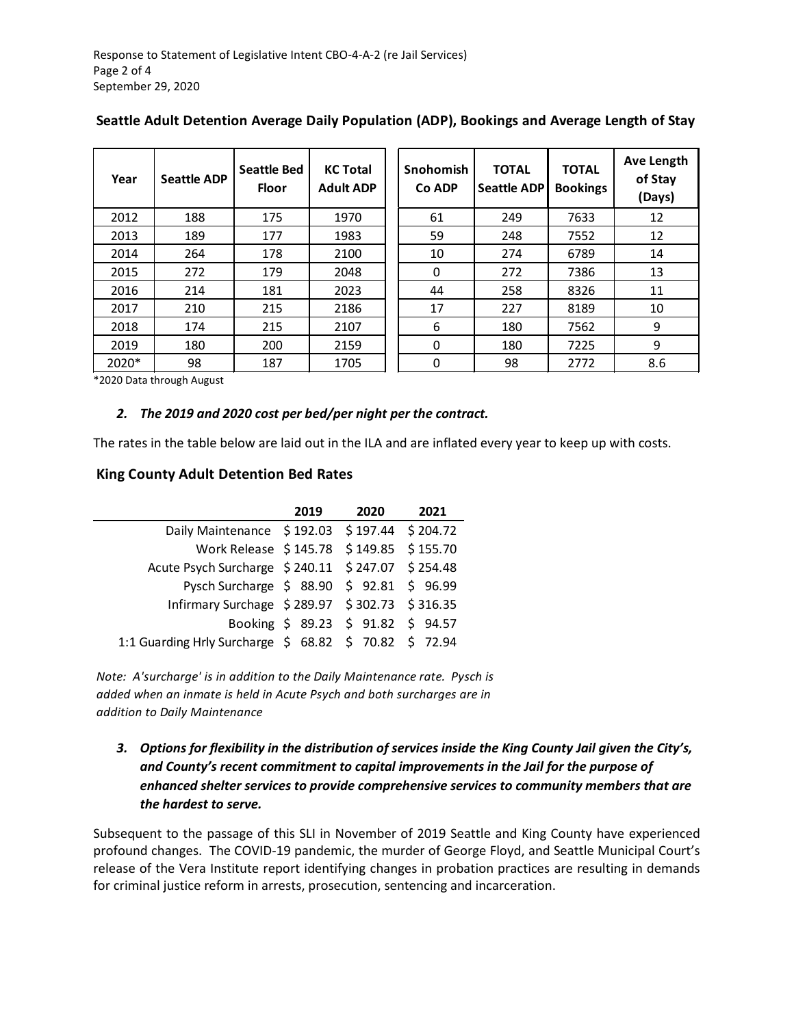| Year    | <b>Seattle ADP</b> | <b>Seattle Bed</b><br><b>Floor</b> | <b>KC Total</b><br><b>Adult ADP</b> | Snohomish<br>Co ADP | <b>TOTAL</b><br><b>Seattle ADP</b> | <b>TOTAL</b><br><b>Bookings</b> | Ave Length<br>of Stay<br>(Days) |
|---------|--------------------|------------------------------------|-------------------------------------|---------------------|------------------------------------|---------------------------------|---------------------------------|
| 2012    | 188                | 175                                | 1970                                | 61                  | 249                                | 7633                            | 12                              |
| 2013    | 189                | 177                                | 1983                                | 59                  | 248                                | 7552                            | 12                              |
| 2014    | 264                | 178                                | 2100                                | 10                  | 274                                | 6789                            | 14                              |
| 2015    | 272                | 179                                | 2048                                | $\Omega$            | 272                                | 7386                            | 13                              |
| 2016    | 214                | 181                                | 2023                                | 44                  | 258                                | 8326                            | 11                              |
| 2017    | 210                | 215                                | 2186                                | 17                  | 227                                | 8189                            | 10                              |
| 2018    | 174                | 215                                | 2107                                | 6                   | 180                                | 7562                            | 9                               |
| 2019    | 180                | 200                                | 2159                                | $\Omega$            | 180                                | 7225                            | 9                               |
| $2020*$ | 98                 | 187                                | 1705                                | $\Omega$            | 98                                 | 2772                            | 8.6                             |

# **Seattle Adult Detention Average Daily Population (ADP), Bookings and Average Length of Stay**

\*2020 Data through August

## *2. The 2019 and 2020 cost per bed/per night per the contract.*

The rates in the table below are laid out in the ILA and are inflated every year to keep up with costs.

## **King County Adult Detention Bed Rates**

|                                                        | 2019 | 2020                               | 2021 |
|--------------------------------------------------------|------|------------------------------------|------|
| Daily Maintenance \$192.03 \$197.44 \$204.72           |      |                                    |      |
| Work Release \$145.78 \$149.85 \$155.70                |      |                                    |      |
| Acute Psych Surcharge \$240.11 \$247.07 \$254.48       |      |                                    |      |
| Pysch Surcharge \$ 88.90 \$ 92.81 \$ 96.99             |      |                                    |      |
| Infirmary Surchage \$289.97 \$302.73 \$316.35          |      |                                    |      |
|                                                        |      | Booking \$ 89.23 \$ 91.82 \$ 94.57 |      |
| 1:1 Guarding Hrly Surcharge \$ 68.82 \$ 70.82 \$ 72.94 |      |                                    |      |

*Note: A'surcharge' is in addition to the Daily Maintenance rate. Pysch is added when an inmate is held in Acute Psych and both surcharges are in addition to Daily Maintenance* 

*3. Options for flexibility in the distribution of services inside the King County Jail given the City's, and County's recent commitment to capital improvements in the Jail for the purpose of enhanced shelter services to provide comprehensive services to community members that are the hardest to serve.*

Subsequent to the passage of this SLI in November of 2019 Seattle and King County have experienced profound changes. The COVID-19 pandemic, the murder of George Floyd, and Seattle Municipal Court's release of the Vera Institute report identifying changes in probation practices are resulting in demands for criminal justice reform in arrests, prosecution, sentencing and incarceration.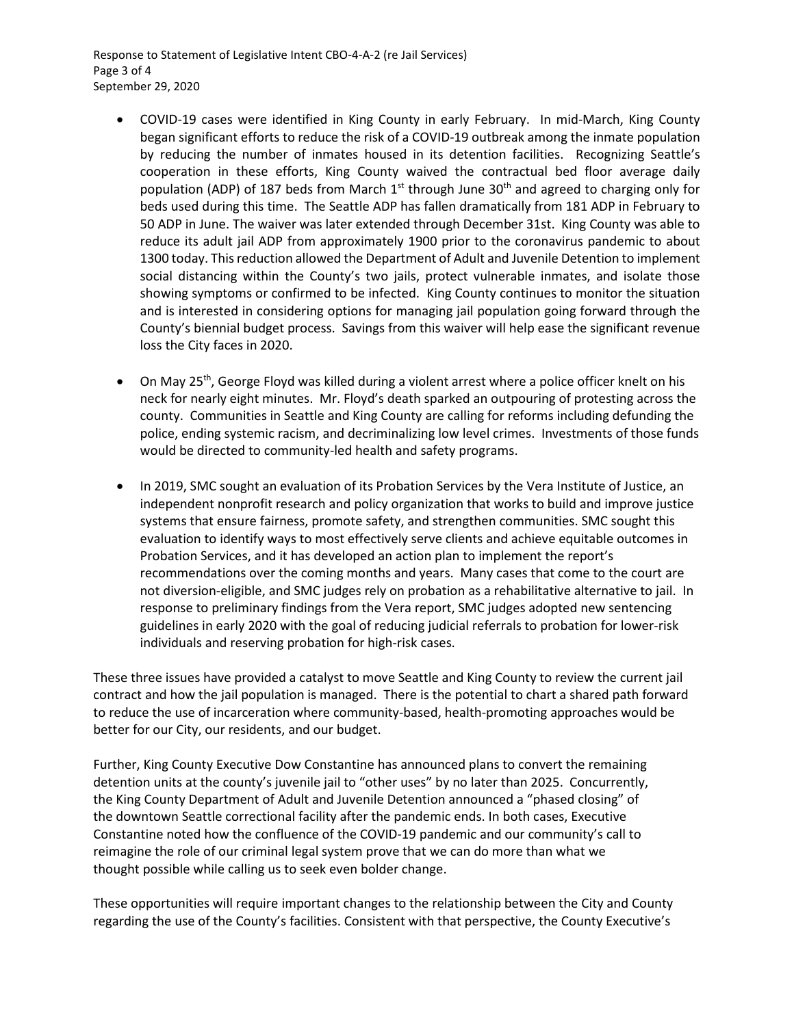Response to Statement of Legislative Intent CBO-4-A-2 (re Jail Services) Page 3 of 4 September 29, 2020

- COVID-19 cases were identified in King County in early February. In mid-March, King County began significant efforts to reduce the risk of a COVID-19 outbreak among the inmate population by reducing the number of inmates housed in its detention facilities. Recognizing Seattle's cooperation in these efforts, King County waived the contractual bed floor average daily population (ADP) of 187 beds from March  $1<sup>st</sup>$  through June 30<sup>th</sup> and agreed to charging only for beds used during this time. The Seattle ADP has fallen dramatically from 181 ADP in February to 50 ADP in June. The waiver was later extended through December 31st. King County was able to reduce its adult jail ADP from approximately 1900 prior to the coronavirus pandemic to about 1300 today. This reduction allowed the Department of Adult and Juvenile Detention to implement social distancing within the County's two jails, protect vulnerable inmates, and isolate those showing symptoms or confirmed to be infected. King County continues to monitor the situation and is interested in considering options for managing jail population going forward through the County's biennial budget process. Savings from this waiver will help ease the significant revenue loss the City faces in 2020.
- On May 25<sup>th</sup>, George Floyd was killed during a violent arrest where a police officer knelt on his neck for nearly eight minutes. Mr. Floyd's death sparked an outpouring of protesting across the county. Communities in Seattle and King County are calling for reforms including defunding the police, ending systemic racism, and decriminalizing low level crimes. Investments of those funds would be directed to community-led health and safety programs.
- In 2019, SMC sought an evaluation of its Probation Services by the Vera Institute of Justice, an independent nonprofit research and policy organization that works to build and improve justice systems that ensure fairness, promote safety, and strengthen communities. SMC sought this evaluation to identify ways to most effectively serve clients and achieve equitable outcomes in Probation Services, and it has developed an action plan to implement the report's recommendations over the coming months and years. Many cases that come to the court are not diversion-eligible, and SMC judges rely on probation as a rehabilitative alternative to jail. In response to preliminary findings from the Vera report, SMC judges adopted new sentencing guidelines in early 2020 with the goal of reducing judicial referrals to probation for lower-risk individuals and reserving probation for high-risk cases.

These three issues have provided a catalyst to move Seattle and King County to review the current jail contract and how the jail population is managed. There is the potential to chart a shared path forward to reduce the use of incarceration where community-based, health-promoting approaches would be better for our City, our residents, and our budget.

Further, King County Executive Dow Constantine has announced plans to convert the remaining detention units at the county's juvenile jail to "other uses" by no later than 2025. Concurrently, the King County Department of Adult and Juvenile Detention announced a "phased closing" of the downtown Seattle correctional facility after the pandemic ends. In both cases, Executive Constantine noted how the confluence of the COVID-19 pandemic and our community's call to reimagine the role of our criminal legal system prove that we can do more than what we thought possible while calling us to seek even bolder change.

These opportunities will require important changes to the relationship between the City and County regarding the use of the County's facilities. Consistent with that perspective, the County Executive's